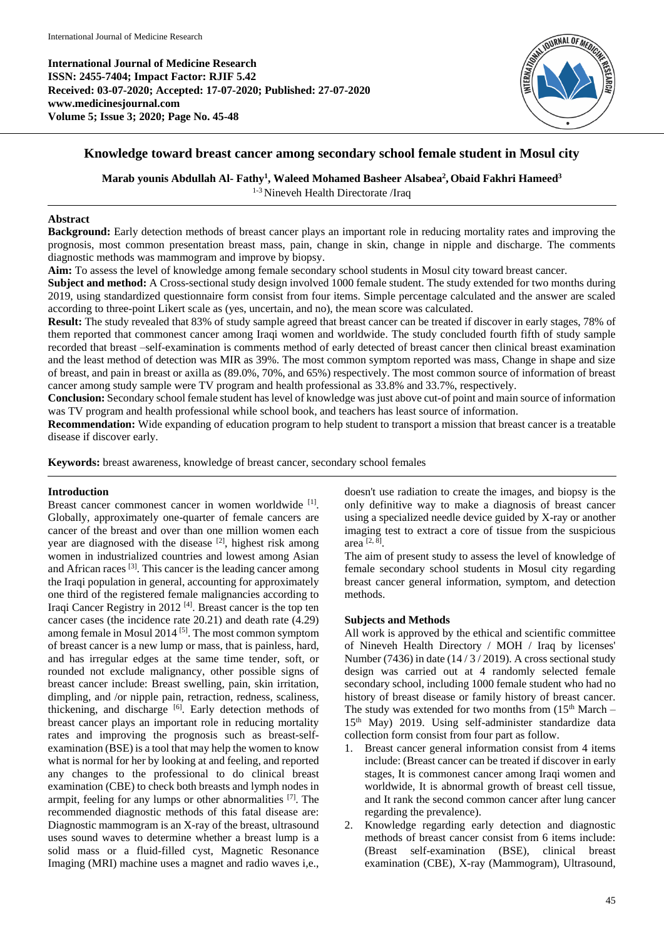

# **Knowledge toward breast cancer among secondary school female student in Mosul city**

**Marab younis Abdullah Al- Fathy<sup>1</sup> , Waleed Mohamed Basheer Alsabea<sup>2</sup> , Obaid Fakhri Hameed<sup>3</sup>**

1-3 Nineveh Health Directorate /Iraq

#### **Abstract**

**Background:** Early detection methods of breast cancer plays an important role in reducing mortality rates and improving the prognosis, most common presentation breast mass, pain, change in skin, change in nipple and discharge. The comments diagnostic methods was mammogram and improve by biopsy.

**Aim:** To assess the level of knowledge among female secondary school students in Mosul city toward breast cancer.

**Subject and method:** A Cross-sectional study design involved 1000 female student. The study extended for two months during 2019, using standardized questionnaire form consist from four items. Simple percentage calculated and the answer are scaled according to three-point Likert scale as (yes, uncertain, and no), the mean score was calculated.

**Result:** The study revealed that 83% of study sample agreed that breast cancer can be treated if discover in early stages, 78% of them reported that commonest cancer among Iraqi women and worldwide. The study concluded fourth fifth of study sample recorded that breast –self-examination is comments method of early detected of breast cancer then clinical breast examination and the least method of detection was MIR as 39%. The most common symptom reported was mass, Change in shape and size of breast, and pain in breast or axilla as (89.0%, 70%, and 65%) respectively. The most common source of information of breast cancer among study sample were TV program and health professional as 33.8% and 33.7%, respectively.

**Conclusion:** Secondary school female student has level of knowledge was just above cut-of point and main source of information was TV program and health professional while school book, and teachers has least source of information.

**Recommendation:** Wide expanding of education program to help student to transport a mission that breast cancer is a treatable disease if discover early.

**Keywords:** breast awareness, knowledge of breast cancer, secondary school females

# **Introduction**

Breast cancer commonest cancer in women worldwide [1]. Globally, approximately one-quarter of female cancers are cancer of the breast and over than one million women each year are diagnosed with the disease  $[2]$ , highest risk among women in industrialized countries and lowest among Asian and African races<sup>[3]</sup>. This cancer is the leading cancer among the Iraqi population in general, accounting for approximately one third of the registered female malignancies according to Iraqi Cancer Registry in 2012<sup>[4]</sup>. Breast cancer is the top ten cancer cases (the incidence rate 20.21) and death rate (4.29) among female in Mosul 2014<sup>[5]</sup>. The most common symptom of breast cancer is a new lump or mass, that is painless, hard, and has irregular edges at the same time tender, soft, or rounded not exclude malignancy, other possible signs of breast cancer include: Breast swelling, pain, skin irritation, dimpling, and /or nipple pain, retraction, redness, scaliness, thickening, and discharge [6]. Early detection methods of breast cancer plays an important role in reducing mortality rates and improving the prognosis such as breast-selfexamination (BSE) is a tool that may help the women to know what is normal for her by looking at and feeling, and reported any changes to the professional to do clinical breast examination (CBE) to check both breasts and lymph nodes in armpit, feeling for any lumps or other abnormalities [7]. The recommended diagnostic methods of this fatal disease are: Diagnostic mammogram is an X-ray of the breast, ultrasound uses sound waves to determine whether a breast lump is a solid mass or a fluid-filled cyst, Magnetic Resonance Imaging (MRI) machine uses a magnet and radio waves i,e.,

doesn't use radiation to create the images, and biopsy is the only definitive way to make a diagnosis of breast cancer using a specialized needle device guided by X-ray or another imaging test to extract a core of tissue from the suspicious area [2, 8] .

The aim of present study to assess the level of knowledge of female secondary school students in Mosul city regarding breast cancer general information, symptom, and detection methods.

#### **Subjects and Methods**

All work is approved by the ethical and scientific committee of Nineveh Health Directory / MOH / Iraq by licenses' Number (7436) in date  $(14/3/2019)$ . A cross sectional study design was carried out at 4 randomly selected female secondary school, including 1000 female student who had no history of breast disease or family history of breast cancer. The study was extended for two months from  $(15<sup>th</sup> March -$ 15th May) 2019. Using self-administer standardize data collection form consist from four part as follow.

- 1. Breast cancer general information consist from 4 items include: (Breast cancer can be treated if discover in early stages, It is commonest cancer among Iraqi women and worldwide, It is abnormal growth of breast cell tissue, and It rank the second common cancer after lung cancer regarding the prevalence).
- 2. Knowledge regarding early detection and diagnostic methods of breast cancer consist from 6 items include: (Breast self-examination (BSE), clinical breast examination (CBE), X-ray (Mammogram), Ultrasound,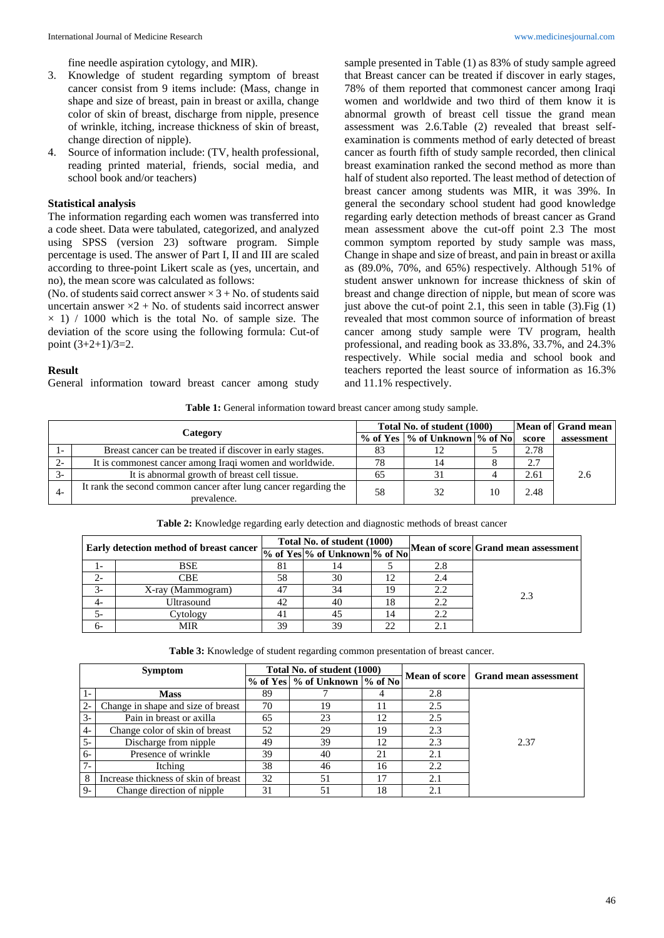fine needle aspiration cytology, and MIR).

- 3. Knowledge of student regarding symptom of breast cancer consist from 9 items include: (Mass, change in shape and size of breast, pain in breast or axilla, change color of skin of breast, discharge from nipple, presence of wrinkle, itching, increase thickness of skin of breast, change direction of nipple).
- 4. Source of information include: (TV, health professional, reading printed material, friends, social media, and school book and/or teachers)

#### **Statistical analysis**

The information regarding each women was transferred into a code sheet. Data were tabulated, categorized, and analyzed using SPSS (version 23) software program. Simple percentage is used. The answer of Part I, II and III are scaled according to three-point Likert scale as (yes, uncertain, and no), the mean score was calculated as follows:

(No. of students said correct answer  $\times$  3 + No. of students said uncertain answer  $\times 2$  + No. of students said incorrect answer  $\times$  1) / 1000 which is the total No. of sample size. The deviation of the score using the following formula: Cut-of point (3+2+1)/3=2.

#### **Result**

General information toward breast cancer among study

sample presented in Table (1) as 83% of study sample agreed that Breast cancer can be treated if discover in early stages, 78% of them reported that commonest cancer among Iraqi women and worldwide and two third of them know it is abnormal growth of breast cell tissue the grand mean assessment was 2.6.Table (2) revealed that breast selfexamination is comments method of early detected of breast cancer as fourth fifth of study sample recorded, then clinical breast examination ranked the second method as more than half of student also reported. The least method of detection of breast cancer among students was MIR, it was 39%. In general the secondary school student had good knowledge regarding early detection methods of breast cancer as Grand mean assessment above the cut-off point 2.3 The most common symptom reported by study sample was mass, Change in shape and size of breast, and pain in breast or axilla as (89.0%, 70%, and 65%) respectively. Although 51% of student answer unknown for increase thickness of skin of breast and change direction of nipple, but mean of score was just above the cut-of point 2.1, this seen in table (3). Fig (1) revealed that most common source of information of breast cancer among study sample were TV program, health professional, and reading book as 33.8%, 33.7%, and 24.3% respectively. While social media and school book and teachers reported the least source of information as 16.3% and 11.1% respectively.

Table 1: General information toward breast cancer among study sample.

|          |                                                                                 |    | Total No. of student (1000)     |  |       | Mean of Grand mean |
|----------|---------------------------------------------------------------------------------|----|---------------------------------|--|-------|--------------------|
| Category |                                                                                 |    | % of Yes  % of Unknown  % of No |  | score | assessment         |
|          | Breast cancer can be treated if discover in early stages.                       | 83 |                                 |  | 2.78  |                    |
|          | It is commonest cancer among Iraqi women and worldwide.                         | 78 |                                 |  | 2.7   |                    |
|          | It is abnormal growth of breast cell tissue.                                    | 65 |                                 |  | 2.61  | 2.6                |
|          | It rank the second common cancer after lung cancer regarding the<br>prevalence. | 58 | 32                              |  | 2.48  |                    |

**Table 2:** Knowledge regarding early detection and diagnostic methods of breast cancer

| Early detection method of breast cancer |                   |    |    |    |     |     |  |
|-----------------------------------------|-------------------|----|----|----|-----|-----|--|
|                                         |                   |    |    |    |     |     |  |
| $\mathbf{I}$ –                          | <b>BSE</b>        | 81 | 14 |    | 2.8 |     |  |
| $2 -$                                   | CBE               | 58 | 30 | 12 | 2.4 |     |  |
| $3-$                                    | X-ray (Mammogram) | 47 | 34 | 19 | 2.2 | 2.3 |  |
| 4-                                      | Ultrasound        | 42 | 40 | 18 | 2.2 |     |  |
| 5-                                      | Cytology          | 41 | 45 | 14 | 2.2 |     |  |
| б-                                      | MIR               | 39 | 39 | 22 |     |     |  |

**Table 3:** Knowledge of student regarding common presentation of breast cancer.

| <b>Symptom</b> |                                      | Total No. of student (1000) |                                   |    |     |                                       |  |
|----------------|--------------------------------------|-----------------------------|-----------------------------------|----|-----|---------------------------------------|--|
|                |                                      |                             | % of Yes   % of Unknown   % of No |    |     | Mean of score   Grand mean assessment |  |
|                | <b>Mass</b>                          | 89                          |                                   |    | 2.8 |                                       |  |
| $2 -$          | Change in shape and size of breast   | 70                          | 19                                |    | 2.5 |                                       |  |
| $3-$           | Pain in breast or axilla             | 65                          | 23                                | 12 | 2.5 |                                       |  |
| $4 -$          | Change color of skin of breast       | 52                          | 29                                | 19 | 2.3 |                                       |  |
| $5-$           | Discharge from nipple                | 49                          | 39                                | 12 | 2.3 | 2.37                                  |  |
| $6-$           | Presence of wrinkle                  | 39                          | 40                                | 21 | 2.1 |                                       |  |
| $7-$           | Itching                              | 38                          | 46                                | 16 | 2.2 |                                       |  |
| 8              | Increase thickness of skin of breast | 32                          | 51                                |    | 2.1 |                                       |  |
| $9-$           | Change direction of nipple           | 31                          | 51                                | 18 | 2.1 |                                       |  |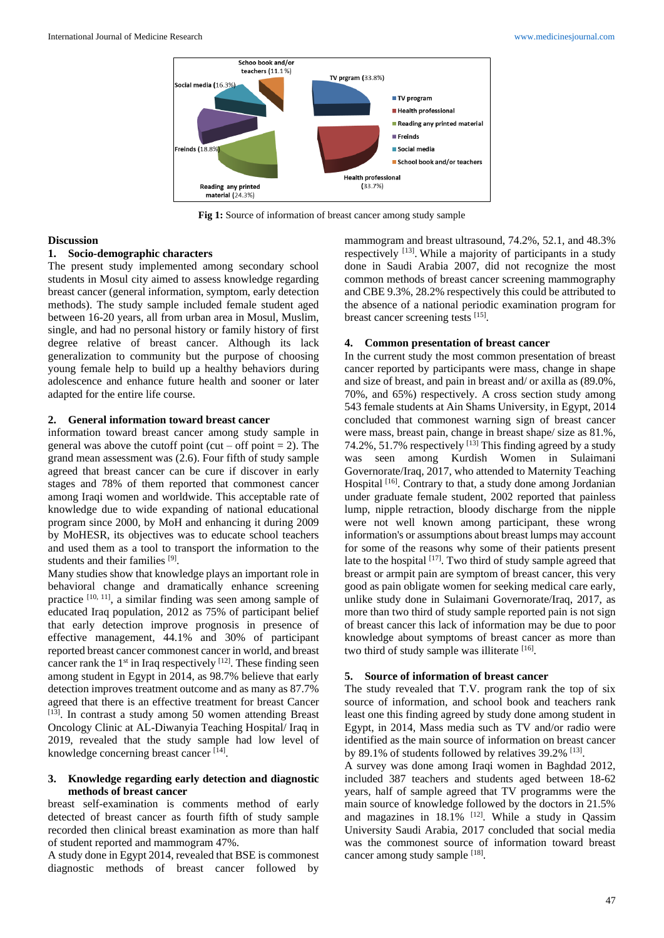

**Fig 1:** Source of information of breast cancer among study sample

### **Discussion**

#### **1. Socio-demographic characters**

The present study implemented among secondary school students in Mosul city aimed to assess knowledge regarding breast cancer (general information, symptom, early detection methods). The study sample included female student aged between 16-20 years, all from urban area in Mosul, Muslim, single, and had no personal history or family history of first degree relative of breast cancer. Although its lack generalization to community but the purpose of choosing young female help to build up a healthy behaviors during adolescence and enhance future health and sooner or later adapted for the entire life course.

### **2. General information toward breast cancer**

information toward breast cancer among study sample in general was above the cutoff point (cut – off point  $= 2$ ). The grand mean assessment was (2.6). Four fifth of study sample agreed that breast cancer can be cure if discover in early stages and 78% of them reported that commonest cancer among Iraqi women and worldwide. This acceptable rate of knowledge due to wide expanding of national educational program since 2000, by MoH and enhancing it during 2009 by MoHESR, its objectives was to educate school teachers and used them as a tool to transport the information to the students and their families [9].

Many studies show that knowledge plays an important role in behavioral change and dramatically enhance screening practice  $[10, 11]$ , a similar finding was seen among sample of educated Iraq population, 2012 as 75% of participant belief that early detection improve prognosis in presence of effective management, 44.1% and 30% of participant reported breast cancer commonest cancer in world, and breast cancer rank the  $1<sup>st</sup>$  in Iraq respectively  $[12]$ . These finding seen among student in Egypt in 2014, as 98.7% believe that early detection improves treatment outcome and as many as 87.7% agreed that there is an effective treatment for breast Cancer [13]. In contrast a study among 50 women attending Breast Oncology Clinic at AL-Diwanyia Teaching Hospital/ Iraq in 2019, revealed that the study sample had low level of knowledge concerning breast cancer [14].

### **3. Knowledge regarding early detection and diagnostic methods of breast cancer**

breast self-examination is comments method of early detected of breast cancer as fourth fifth of study sample recorded then clinical breast examination as more than half of student reported and mammogram 47%.

A study done in Egypt 2014, revealed that BSE is commonest diagnostic methods of breast cancer followed by

mammogram and breast ultrasound, 74.2%, 52.1, and 48.3% respectively <sup>[13]</sup>. While a majority of participants in a study done in Saudi Arabia 2007, did not recognize the most common methods of breast cancer screening mammography and CBE 9.3%, 28.2% respectively this could be attributed to the absence of a national periodic examination program for breast cancer screening tests [15].

#### **4. Common presentation of breast cancer**

In the current study the most common presentation of breast cancer reported by participants were mass, change in shape and size of breast, and pain in breast and/ or axilla as (89.0%, 70%, and 65%) respectively. A cross section study among 543 female students at Ain Shams University, in Egypt, 2014 concluded that commonest warning sign of breast cancer were mass, breast pain, change in breast shape/ size as 81.%, 74.2%, 51.7% respectively  $^{[13]}$  This finding agreed by a study was seen among Kurdish Women in Sulaimani Governorate/Iraq, 2017, who attended to Maternity Teaching Hospital <sup>[16]</sup>. Contrary to that, a study done among Jordanian under graduate female student, 2002 reported that painless lump, nipple retraction, bloody discharge from the nipple were not well known among participant, these wrong information's or assumptions about breast lumps may account for some of the reasons why some of their patients present late to the hospital  $[17]$ . Two third of study sample agreed that breast or armpit pain are symptom of breast cancer, this very good as pain obligate women for seeking medical care early, unlike study done in Sulaimani Governorate/Iraq, 2017, as more than two third of study sample reported pain is not sign of breast cancer this lack of information may be due to poor knowledge about symptoms of breast cancer as more than two third of study sample was illiterate [16].

### **5. Source of information of breast cancer**

The study revealed that T.V. program rank the top of six source of information, and school book and teachers rank least one this finding agreed by study done among student in Egypt, in 2014, Mass media such as TV and/or radio were identified as the main source of information on breast cancer by 89.1% of students followed by relatives 39.2% [13].

A survey was done among Iraqi women in Baghdad 2012, included 387 teachers and students aged between 18-62 years, half of sample agreed that TV programms were the main source of knowledge followed by the doctors in 21.5% and magazines in  $18.1\%$  <sup>[12]</sup>. While a study in Qassim University Saudi Arabia, 2017 concluded that social media was the commonest source of information toward breast cancer among study sample [18].